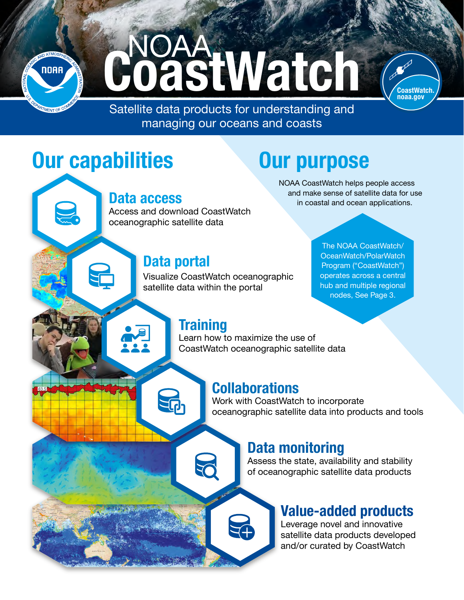

NOAA<br>DastWatch



• managing our oceans and coasts Satellite data products for understanding and

# Our capabilities

#### Data access

Access and download CoastWatch oceanographic satellite data

#### Data portal

Visualize CoastWatch oceanographic satellite data within the portal

The NOAA CoastWatch/ OceanWatch/PolarWatch Program ("CoastWatch") operates across a central hub and multiple regional nodes, [See Page 3.](#page-2-0)

NOAA CoastWatch helps people access and make sense of satellite data for use in coastal and ocean applications.

Our purpose

#### **Training**

Learn how to maximize the use of CoastWatch oceanographic satellite data

#### **Collaborations**

**AP** 

Work with CoastWatch to incorporate oceanographic satellite data into products and tools

#### Data monitoring

Assess the state, availability and stability of oceanographic satellite data products

#### Value-added products

Leverage novel and innovative satellite data products developed and/or curated by CoastWatch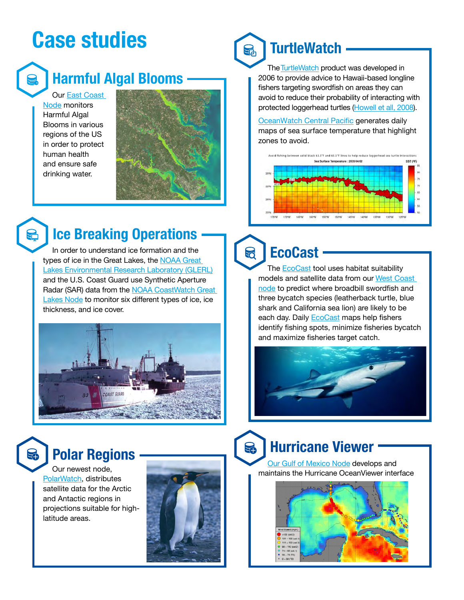# Case studies



# Harmful Algal Blooms

Our [East Coast](https://eastcoast.coastwatch.noaa.gov/)  [Node](https://eastcoast.coastwatch.noaa.gov/) monitors Harmful Algal Blooms in various regions of the US in order to protect human health and ensure safe drinking water.



# Ice Breaking Operations

In order to understand ice formation and the types of ice in the Great Lakes, the [NOAA Great](https://www.glerl.noaa.gov/)  [Lakes Environmental Research Laboratory \(GLERL\)](https://www.glerl.noaa.gov/) and the U.S. Coast Guard use Synthetic Aperture Radar (SAR) data from the [NOAA CoastWatch Great](https://coastwatch.glerl.noaa.gov/)  [Lakes Node](https://coastwatch.glerl.noaa.gov/) to monitor six different types of ice, ice thickness, and ice cover.



#### **TurtleWatch** こ。<br>「……

The TurtleWatch product was developed in 2006 to provide advice to Hawaii-based longline fishers targeting swordfish on areas they can avoid to reduce their probability of interacting with protected loggerhead turtles [\(Howell et](http://www.int-res.com/articles/esr2008/5/n005p267.pdf) all, 2008).

[OceanWatch](https://oceanwatch.pifsc.noaa.gov/) Central Pacific generates daily maps of sea surface temperature that highlight zones to avoid.



#### **EcoCast** 5

The **[EcoCast](https://coastwatch.pfeg.noaa.gov/ecocast/) tool uses habitat suitability** models and satellite data from our [West Coast](https://coastwatch.pfeg.noaa.gov/)  [node](https://coastwatch.pfeg.noaa.gov/) to predict where broadbill swordfish and three bycatch species (leatherback turtle, blue shark and California sea lion) are likely to be each day. Daily **[EcoCast](https://coastwatch.pfeg.noaa.gov/ecocast/) maps help fishers** identify fishing spots, minimize fisheries bycatch and maximize fisheries target catch.



Our newest node, [PolarWatch,](https://polarwatch.noaa.gov/) distributes satellite data for the Arctic and Antactic regions in projections suitable for highlatitude areas.



# Hurricane Viewer Polar Regions

Our Gulf of Mexico Node develops and maintains the Hurricane OceanViewer interface

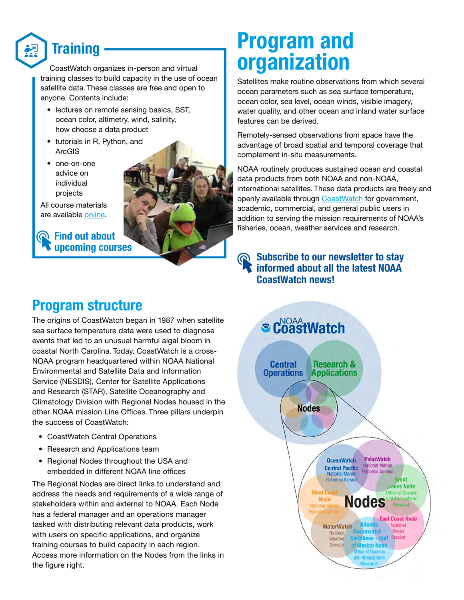<span id="page-2-0"></span>

### **Training**

CoastWatch organizes in-person and virtual training classes to build capacity in the use of ocean satellite data. These classes are free and open to anyone. Contents include:

- lectures on remote sensing basics, SST. ocean color, altimetry, wind, salinity, how choose a data product
- tutorials in R, Python, and ArcGIS
- one-on-one advice on individual projects

All course materials are available [online](https://coastwatch.gitbook.io/satellite-course/).

**R** Find out about [upcoming courses](https://coastwatch.noaa.gov/cw/user-resources/satellite-data-training-courses.html)



# Program and organization

Satellites make routine observations from which several ocean parameters such as sea surface temperature, ocean color, sea level, ocean winds, visible imagery, water quality, and other ocean and inland water surface features can be derived.

Remotely-sensed observations from space have the advantage of broad spatial and temporal coverage that complement in-situ measurements.

NOAA routinely produces sustained ocean and coastal data products from both NOAA and non-NOAA, international satellites. These data products are freely and openly available through [CoastWatch](https://coastwatch.noaa.gov/cw/index.html) for government, academic, commercial, and general public users in addition to serving the mission requirements of NOAA's fisheries, ocean, weather services and research.



#### Program structure

The origins of CoastWatch began in 1987 when satellite sea surface temperature data were used to diagnose events that led to an unusual harmful algal bloom in coastal North Carolina. Today, CoastWatch is a cross-NOAA program headquartered within NOAA National Environmental and Satellite Data and Information Service (NESDIS), Center for Satellite Applications and Research (STAR), Satellite Oceanography and Climatology Division with Regional Nodes housed in the other NOAA mission Line Offices. Three pillars underpin the success of CoastWatch:

- CoastWatch Central Operations
- Research and Applications team
- Regional Nodes throughout the USA and embedded in different NOAA line offices

The Regional Nodes are direct links to understand and address the needs and requirements of a wide range of stakeholders within and external to NOAA. Each Node has a federal manager and an operations manager tasked with distributing relevant data products, work with users on specific applications, and organize training courses to build capacity in each region. Access more information on the Nodes from the links in the figure right.